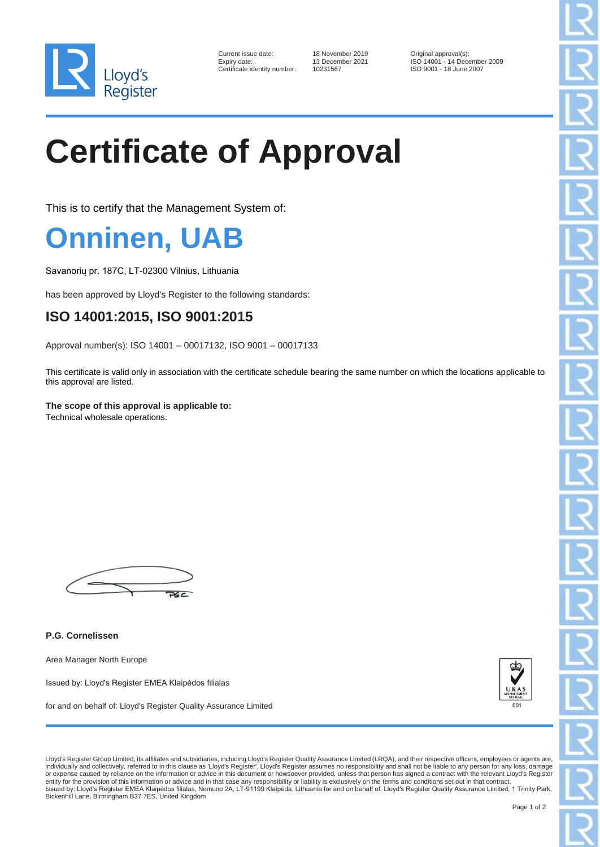

| Current issue date:        |
|----------------------------|
| Expiry date:               |
| Certificate identity numbe |

18 November 2019 Criginal approval(s):<br>13 December 2021 ISO 14001 - 14 Dec 13 December 2021 ISO 14001 - 14 December 2009<br>10231567 ISO 9001 - 18 June 2007 Pr: 10231567 ISO 9001 - 18 June 2007

## **Certificate of Approval**

This is to certify that the Management System of:

## **Onninen, UAB**

Savanorių pr. 187C, LT-02300 Vilnius, Lithuania

has been approved by Lloyd's Register to the following standards:

## **ISO 14001:2015, ISO 9001:2015**

Approval number(s): ISO 14001 – 00017132, ISO 9001 – 00017133

This certificate is valid only in association with the certificate schedule bearing the same number on which the locations applicable to this approval are listed.

**The scope of this approval is applicable to:** Technical wholesale operations.

 $P6C$ 

**P.G. Cornelissen**

Area Manager North Europe

Issued by: Lloyd's Register EMEA Klaipėdos filialas

for and on behalf of: Lloyd's Register Quality Assurance Limited



Lloyd's Register Group Limited, its affiliates and subsidiaries, including Lloyd's Register Quality Assurance Limited (LRQA), and their respective officers, employees or agents are, individually and collectively, referred to in this clause as 'Lloyd's Register'. Lloyd's Register assumes no responsibility and shall not be liable to any person for any loss, damage<br>or expense caused by reliance on the in entity for the provision of this information or advice and in that case any responsibility or liability is exclusively on the terms and conditions set out in that contract.<br>Issued by: Lloyd's Register EMEA Klaipėdos filial Bickenhill Lane, Birmingham B37 7ES, United Kingdom